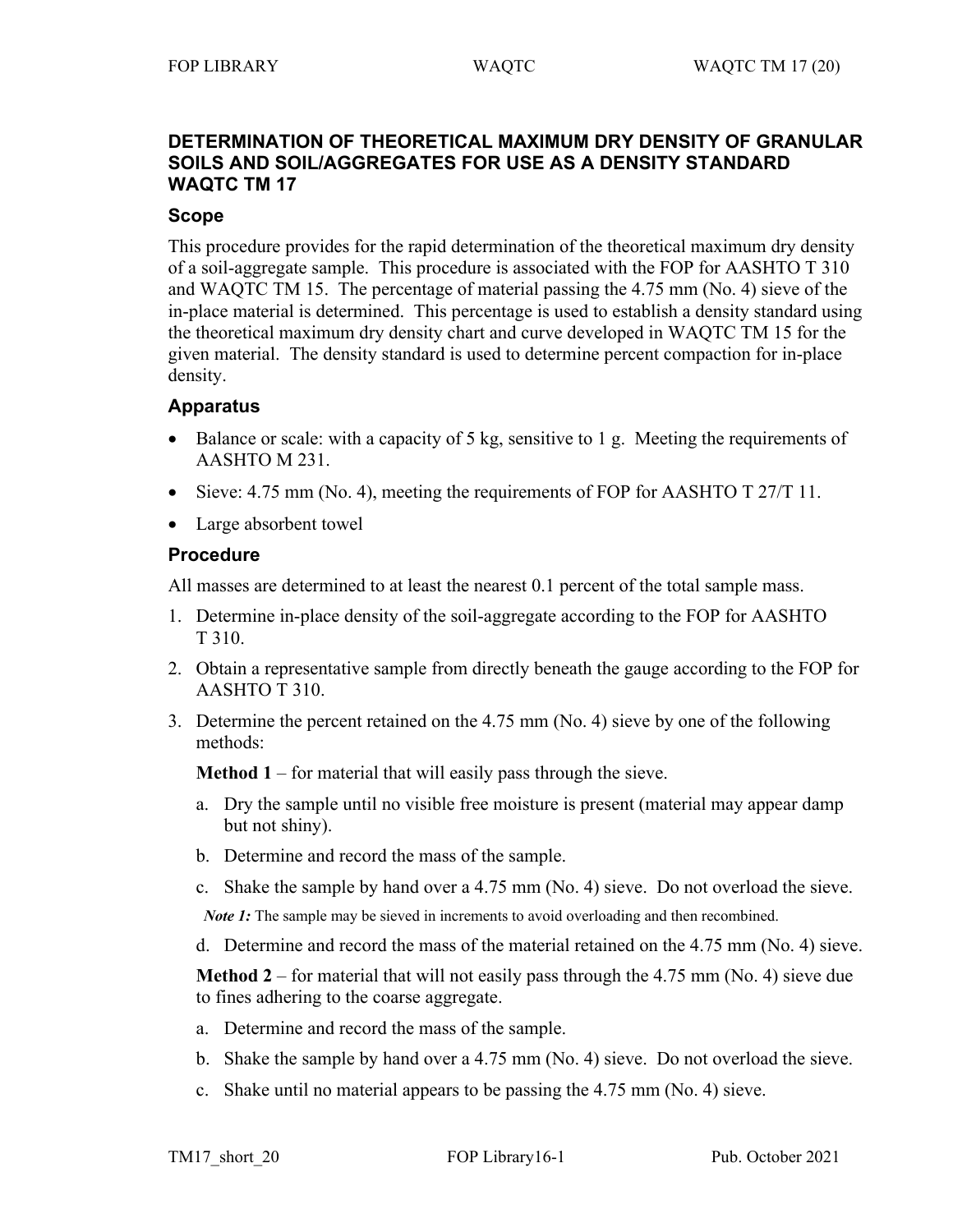# **DETERMINATION OF THEORETICAL MAXIMUM DRY DENSITY OF GRANULAR SOILS AND SOIL/AGGREGATES FOR USE AS A DENSITY STANDARD WAQTC TM 17**

### **Scope**

This procedure provides for the rapid determination of the theoretical maximum dry density of a soil-aggregate sample. This procedure is associated with the FOP for AASHTO T 310 and WAQTC TM 15. The percentage of material passing the 4.75 mm (No. 4) sieve of the in-place material is determined. This percentage is used to establish a density standard using the theoretical maximum dry density chart and curve developed in WAQTC TM 15 for the given material. The density standard is used to determine percent compaction for in-place density.

# **Apparatus**

- Balance or scale: with a capacity of 5 kg, sensitive to 1 g. Meeting the requirements of AASHTO M 231.
- Sieve: 4.75 mm (No. 4), meeting the requirements of FOP for AASHTO T  $27/T$  11.
- Large absorbent towel

#### **Procedure**

All masses are determined to at least the nearest 0.1 percent of the total sample mass.

- 1. Determine in-place density of the soil-aggregate according to the FOP for AASHTO T 310.
- 2. Obtain a representative sample from directly beneath the gauge according to the FOP for AASHTO T 310.
- 3. Determine the percent retained on the 4.75 mm (No. 4) sieve by one of the following methods:

**Method 1** – for material that will easily pass through the sieve.

- a. Dry the sample until no visible free moisture is present (material may appear damp but not shiny).
- b. Determine and record the mass of the sample.
- c. Shake the sample by hand over a 4.75 mm (No. 4) sieve. Do not overload the sieve.

*Note 1*: The sample may be sieved in increments to avoid overloading and then recombined.

d. Determine and record the mass of the material retained on the 4.75 mm (No. 4) sieve.

**Method 2** – for material that will not easily pass through the 4.75 mm (No. 4) sieve due to fines adhering to the coarse aggregate.

- a. Determine and record the mass of the sample.
- b. Shake the sample by hand over a 4.75 mm (No. 4) sieve. Do not overload the sieve.
- c. Shake until no material appears to be passing the 4.75 mm (No. 4) sieve.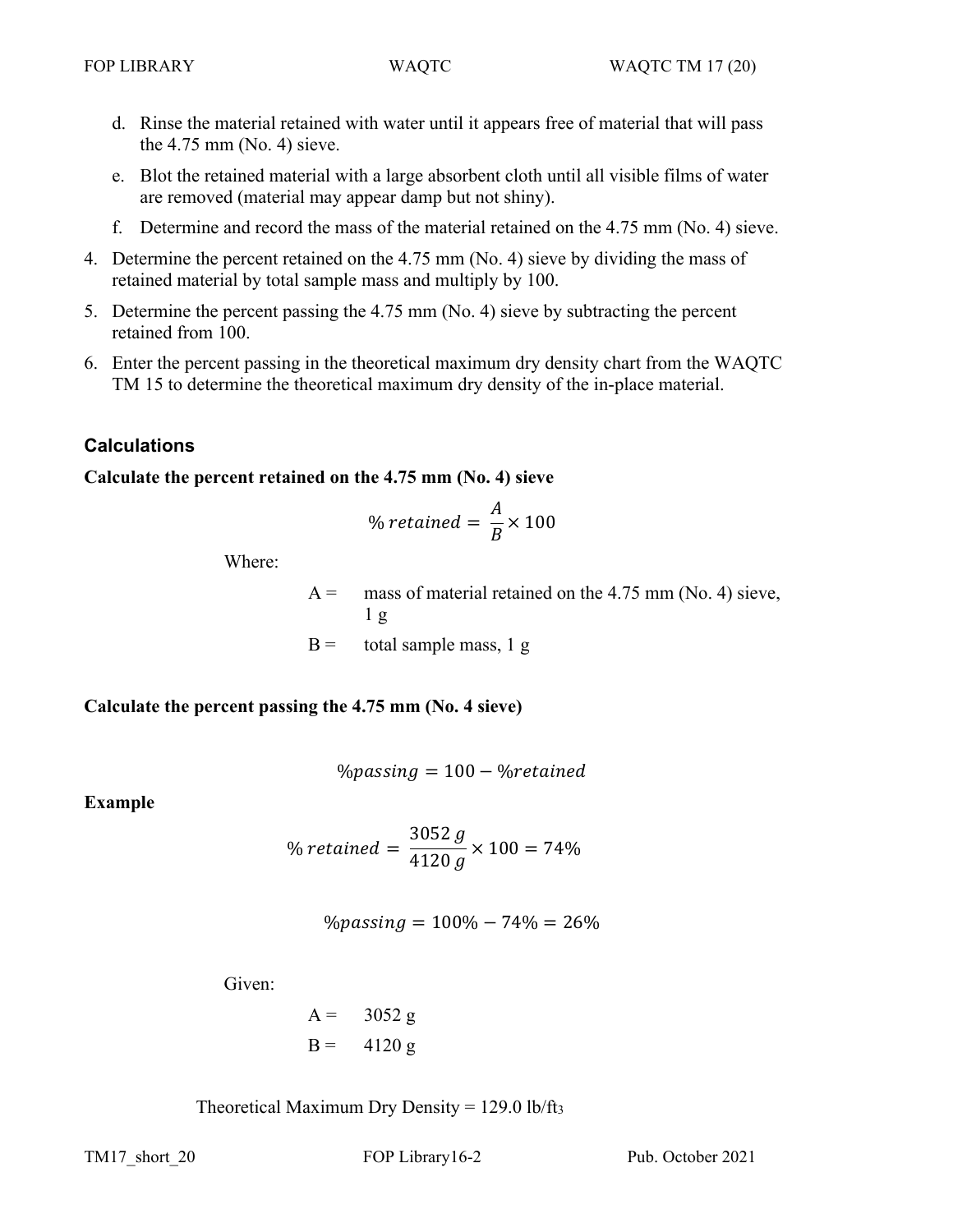- d. Rinse the material retained with water until it appears free of material that will pass the 4.75 mm (No. 4) sieve.
- e. Blot the retained material with a large absorbent cloth until all visible films of water are removed (material may appear damp but not shiny).
- f. Determine and record the mass of the material retained on the 4.75 mm (No. 4) sieve.
- 4. Determine the percent retained on the 4.75 mm (No. 4) sieve by dividing the mass of retained material by total sample mass and multiply by 100.
- 5. Determine the percent passing the 4.75 mm (No. 4) sieve by subtracting the percent retained from 100.
- 6. Enter the percent passing in the theoretical maximum dry density chart from the WAQTC TM 15 to determine the theoretical maximum dry density of the in-place material.

# **Calculations**

# **Calculate the percent retained on the 4.75 mm (No. 4) sieve**

% retained = 
$$
\frac{A}{B}
$$
 × 100

Where:

 $A =$  mass of material retained on the 4.75 mm (No. 4) sieve, 1 g  $B =$  total sample mass, 1 g

**Calculate the percent passing the 4.75 mm (No. 4 sieve)**

$$
\%passing = 100 - \%retained
$$

**Example**

% retained  $=\frac{3052}{4120}$ 4120  $\times 100 = 74\%$ 

$$
\%passing = 100\% - 74\% = 26\%
$$

Given:

$$
A = 3052 g
$$
  
 $B = 4120 g$ 

Theoretical Maximum Dry Density =  $129.0$  lb/ft<sub>3</sub>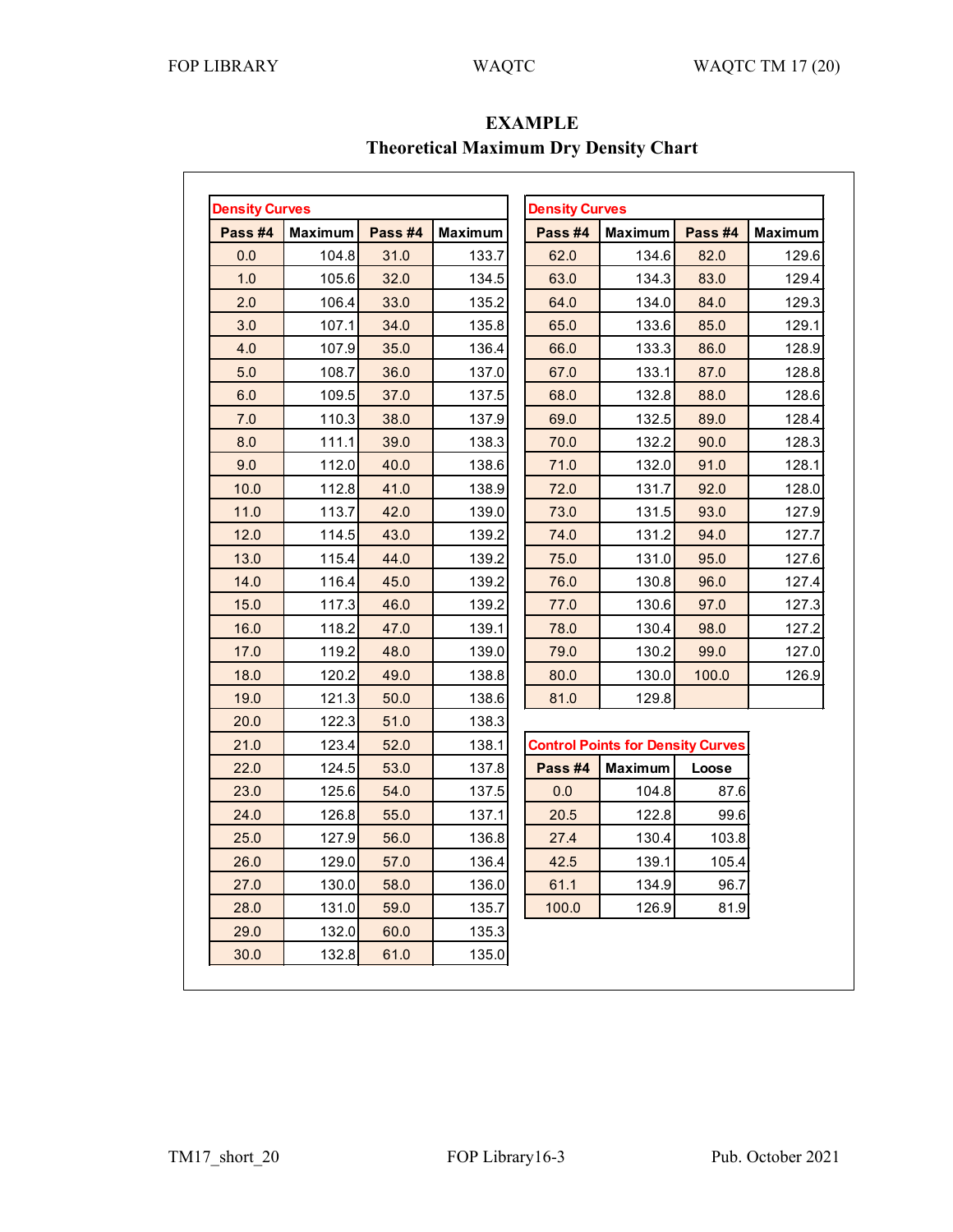| <b>Density Curves</b> |                |         |                | <b>Density Curves</b>                    |                |         |                |
|-----------------------|----------------|---------|----------------|------------------------------------------|----------------|---------|----------------|
| Pass #4               | <b>Maximum</b> | Pass #4 | <b>Maximum</b> | Pass #4                                  | <b>Maximum</b> | Pass #4 | <b>Maximum</b> |
| 0.0                   | 104.8          | 31.0    | 133.7          | 62.0                                     | 134.6          | 82.0    | 129.6          |
| 1.0                   | 105.6          | 32.0    | 134.5          | 63.0                                     | 134.3          | 83.0    | 129.4          |
| 2.0                   | 106.4          | 33.0    | 135.2          | 64.0                                     | 134.0          | 84.0    | 129.3          |
| 3.0                   | 107.1          | 34.0    | 135.8          | 65.0                                     | 133.6          | 85.0    | 129.1          |
| 4.0                   | 107.9          | 35.0    | 136.4          | 66.0                                     | 133.3          | 86.0    | 128.9          |
| 5.0                   | 108.7          | 36.0    | 137.0          | 67.0                                     | 133.1          | 87.0    | 128.8          |
| 6.0                   | 109.5          | 37.0    | 137.5          | 68.0                                     | 132.8          | 88.0    | 128.6          |
| 7.0                   | 110.3          | 38.0    | 137.9          | 69.0                                     | 132.5          | 89.0    | 128.4          |
| 8.0                   | 111.1          | 39.0    | 138.3          | 70.0                                     | 132.2          | 90.0    | 128.3          |
| 9.0                   | 112.0          | 40.0    | 138.6          | 71.0                                     | 132.0          | 91.0    | 128.1          |
| 10.0                  | 112.8          | 41.0    | 138.9          | 72.0                                     | 131.7          | 92.0    | 128.0          |
| 11.0                  | 113.7          | 42.0    | 139.0          | 73.0                                     | 131.5          | 93.0    | 127.9          |
| 12.0                  | 114.5          | 43.0    | 139.2          | 74.0                                     | 131.2          | 94.0    | 127.7          |
| 13.0                  | 115.4          | 44.0    | 139.2          | 75.0                                     | 131.0          | 95.0    | 127.6          |
| 14.0                  | 116.4          | 45.0    | 139.2          | 76.0                                     | 130.8          | 96.0    | 127.4          |
| 15.0                  | 117.3          | 46.0    | 139.2          | 77.0                                     | 130.6          | 97.0    | 127.3          |
| 16.0                  | 118.2          | 47.0    | 139.1          | 78.0                                     | 130.4          | 98.0    | 127.2          |
| 17.0                  | 119.2          | 48.0    | 139.0          | 79.0                                     | 130.2          | 99.0    | 127.0          |
| 18.0                  | 120.2          | 49.0    | 138.8          | 80.0                                     | 130.0          | 100.0   | 126.9          |
| 19.0                  | 121.3          | 50.0    | 138.6          | 81.0                                     | 129.8          |         |                |
| 20.0                  | 122.3          | 51.0    | 138.3          |                                          |                |         |                |
| 21.0                  | 123.4          | 52.0    | 138.1          | <b>Control Points for Density Curves</b> |                |         |                |
| 22.0                  | 124.5          | 53.0    | 137.8          | Pass #4                                  | <b>Maximum</b> | Loose   |                |
| 23.0                  | 125.6          | 54.0    | 137.5          | 0.0                                      | 104.8          | 87.6    |                |
| 24.0                  | 126.8          | 55.0    | 137.1          | 20.5                                     | 122.8          | 99.6    |                |
| 25.0                  | 127.9          | 56.0    | 136.8          | 27.4                                     | 130.4          | 103.8   |                |
| 26.0                  | 129.0          | 57.0    | 136.4          | 42.5                                     | 139.1          | 105.4   |                |
| 27.0                  | 130.0          | 58.0    | 136.0          | 61.1                                     | 134.9          | 96.7    |                |
| 28.0                  | 131.0          | 59.0    | 135.7          | 100.0                                    | 126.9          | 81.9    |                |
| 29.0                  | 132.0          | 60.0    | 135.3          |                                          |                |         |                |
| 30.0                  | 132.8          | 61.0    | 135.0          |                                          |                |         |                |

**EXAMPLE Theoretical Maximum Dry Density Chart**